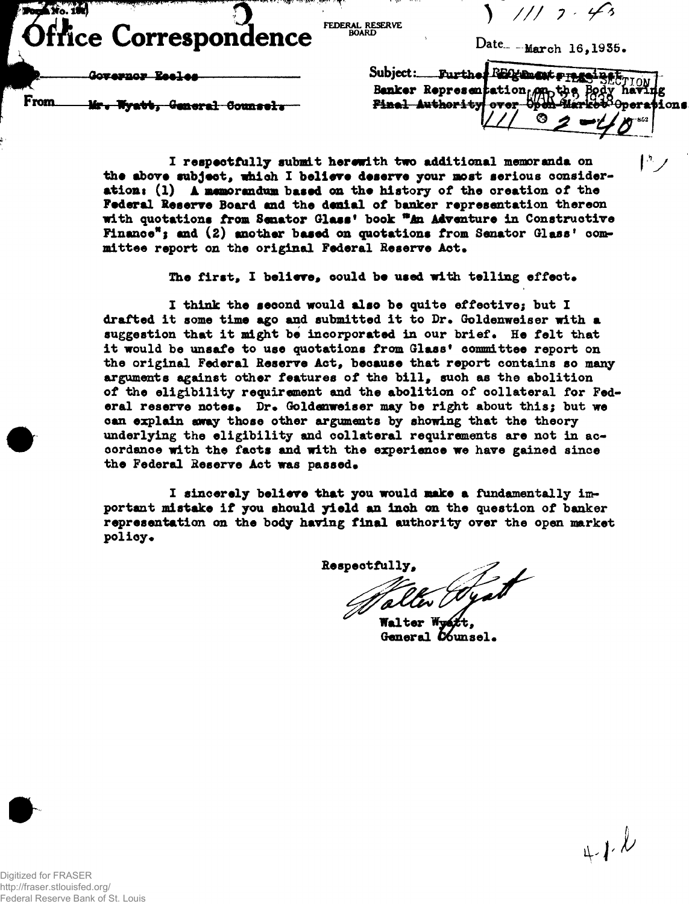**Ford** No. 186 **ice Correspondence** 

**FEDERAL RESERVE BOARD**

**) // / 7**

Date<sub>-</sub> -March 16,1935.

**IV**

Governor Reeles

From. **Mr, ly»%»# General Owiil t**

Subject: Further RECturent FILE BECTION **Banker Representation one** ⊙

**I respectfully submit herewith two additional memoranda on the above subject, which I believe deserve your most serious considerations (1) A memorandum based on the history of the creation of the Federal Reserve Board and the denial of banker representation thereon with quotations from Senator Glass<sup>1</sup> book \*\*An Adventure in Constructive Finance<sup>19</sup>1 and (2) another based on quotations from Senator Glass<sup>9</sup> com**mittee report on the original Federal Reserve Act.

The first, I believe, could be used with telling effect.

**I think the seoond would also be quite effective; but I drafted it some time ago and submitted it to Dr. Goldenweiser with a** suggestion that it might be incorporated in our brief. He felt that **it would be unsafe to use quotations from Glass<sup>1</sup> committee report on the original Federal Reserve Act, because that report contains so many arguments against other features of the bill, such as the abolition of the eligibility requirement and the abolition of collateral for Fed**eral reserve notes. Dr. Goldenweiser may be right about this; but we **can explain away those other arguments by showing that the theory underlying the eligibility and collateral requirements are not in accordance with the facts and with the experience we have gained since** the Federal Reserve Act was passed.

**I sincerely believe that you would make a fundamentally important mistake if you should yield an inch on the question of banker representation on the body having final authority over the open market policy •**

**Respectfully,**

**Walter** General  $b$ *bunsel.* 



http://fraser.stlouisfed.org/ Federal Reserve Bank of St. Louis

**e**

**a**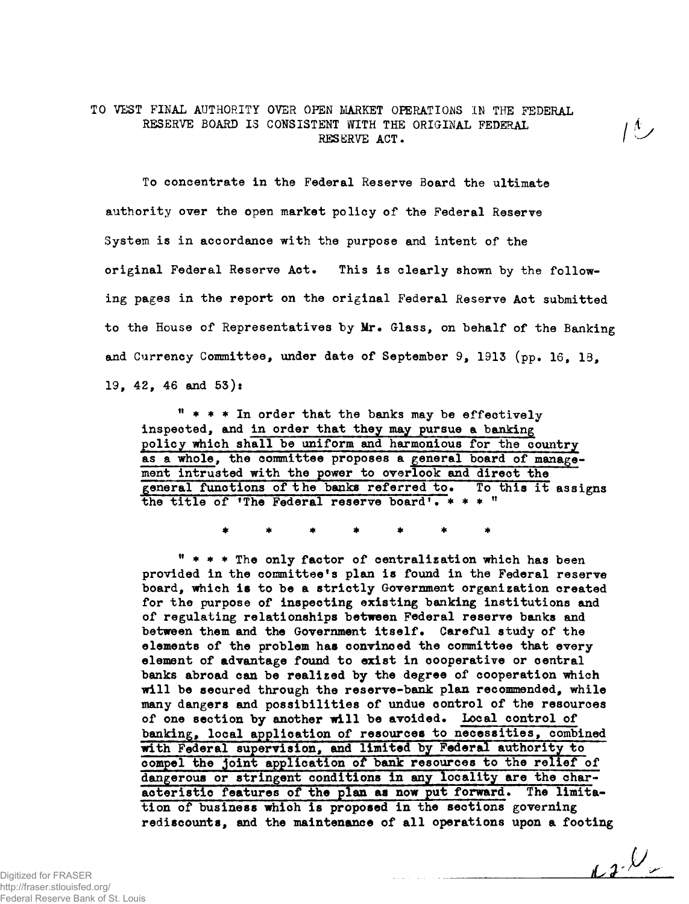## **TO VEST FINAL AUTHORITY OVER OPEN MARKET OPERATIONS IN THE FEDERAL RESERVE BOARD IS CONSISTENT WITH THE ORIGINAL FEDERAL**  $/$ **RESERVE ACT. /<sup>l</sup>**

**To concentrate in the Federal Reserve Board the ultimate authority over the open market policy of the Federal Reserve System is in accordance with the purpose and intent of the original Federal Reserve Act. This is clearly shorn by the following pages in the report on the original Federal Reserve Act submitted to the House of Representatives by Mr. Glass, on behalf of the Banking and Currency Committee, under date of September 9f 1913 (pp. 16, 18, 19, 42, 46 and 53):**

**<sup>11</sup> \* \* \* In order that the banks may be effectively inspected, and in order that they may pursue a banking policy which shall be uniform and harmonious for the country as a whole, the committee proposes a general board of management intrusted with the power to overlook and direot the general functions of the banks referred to. To this it assigns the title of <sup>f</sup>The Federal reserve board<sup>1</sup>• \* \* \*<sup>n</sup>**

**" \* \* \* The only factor of centralization which has been provided in the committee's plan is found in the Federal reserve board, which is to be a strictly Government organization created for the purpose of inspecting existing banking institutions and of regulating relationships between Federal reserve banks and** between them and the Government itself. Careful study of the elements of the problem has convinced the committee that every **element of advantage found to exist in cooperative or central banks abroad can be realized by the degree of cooperation which will be secured through the reserve-bank plan recommended, while many dangers and possibilities of undue control of the resources of one section by another will be avoided. Local control of banking, local application of resources to necessities, combined with Federal supervision, and limited by Federal authority to" compel the joint application of bank resources to the relief of dangerous or stringent conditions in any locality are the characteristic features of the plan as now put forward. The limitation of business which Is proposed in the sections governing rediscounts, and the maintenance of all operations upon a footing**

 $\iota\iota\mathcal{P}$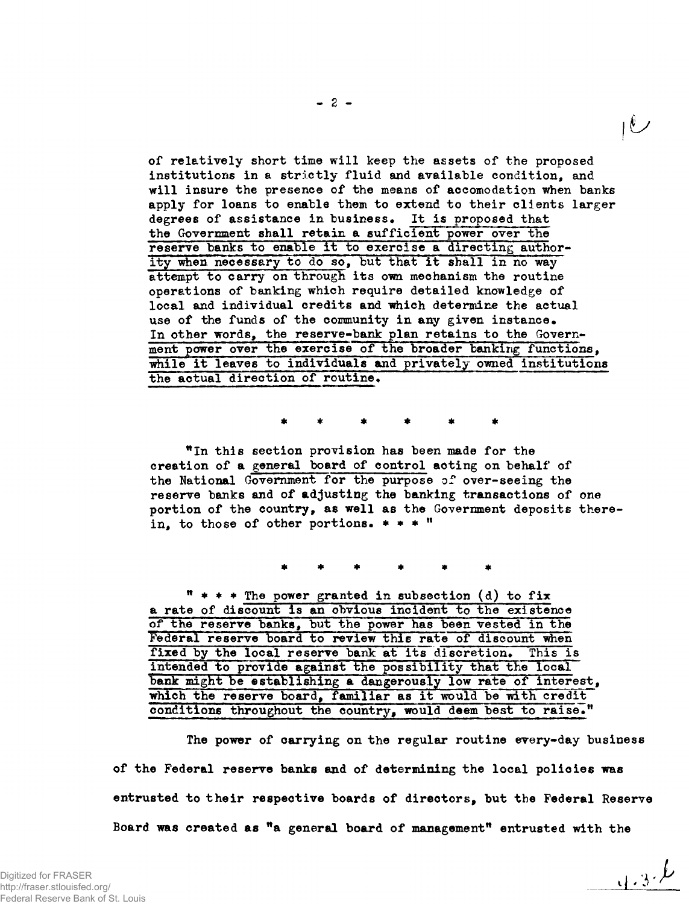**of relatively short time will keep the assets of the proposed institutions in a strictly fluid and available condition, and will insure the presence of the means of accomodation when banks apply for loans to enable them to extend to their clients larger degrees of assistance in business• It is proposed that the Government shall retain a sufficient power over the reserve banks to enable it to exercise a directing authority when necessary to do so, but that it shall in no way attempt to carry on through its own mechanism the routine operations of banking which require detailed knowledge of local and individual credits and "which determine the actual** use of the funds of the community in any given instance. **In other words, the reserve-bank plan retains to the Government power over the exercise of the broader banking functions, while it leaves to individuals and privately owned institutions** the actual direction of routine.

**"In this section provision has been made for the creation of a general board of control aoting on behalf of the National Government for the purpose of over-seeing the reserve banks and of adjusting the banking transactions of one portion of the country, as well as the Government deposits therein, to those of other portions. \* \* • ff**

**<sup>n</sup> \* \* \* Th <sup>e</sup> power granted in subsection (d) to fix a rate of discount is an obvious incident to the existence of the reserve banks, but the power has been vested in the Federal reserve board to review this rate of discount when** fixed by the local reserve bank at its discretion. This is **intended to provide against the possibility that the local bank might be establishing a dangerously low rate of interest,** which the reserve board, familiar as it would be with credit conditions throughout the country, would deem best to raise."

**The power of carrying on the regular routine every-day business of the Federal reserve banks and of determining the local policies was entrusted to their respective boards of directors, but the Federal Reserve Board was created as "a general board of management<sup>11</sup> entrusted with the**

 $4.3.6$ 

 $\overline{U}$